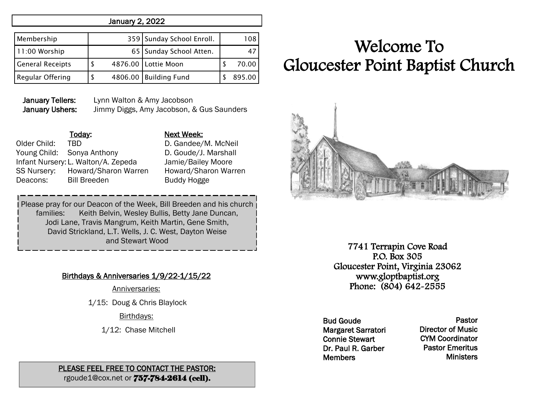#### January 2, 2022

| Membership              |  | 359 Sunday School Enroll. | 108    |
|-------------------------|--|---------------------------|--------|
| 11:00 Worship           |  | 65   Sunday School Atten. |        |
| <b>General Receipts</b> |  | 4876.00 Lottie Moon       | 70.00  |
| <b>Regular Offering</b> |  | 4806.00 Building Fund     | 895.00 |

January Tellers: Lynn Walton & Amy Jacobson January Ushers: Jimmy Diggs, Amy Jacobson, & Gus Saunders

Older Child: TBD D. Gandee/M. McNeil Young Child: Sonya Anthony D. Goude/J. Marshall Infant Nursery: L. Walton/A. Zepeda Jamie/Bailey Moore SS Nursery: Howard/Sharon Warren Howard/Sharon Warren Deacons: Bill Breeden Buddy Hogge

## Today: Next Week:

Please pray for our Deacon of the Week, Bill Breeden and his church families: Keith Belvin, Wesley Bullis, Betty Jane Duncan, Jodi Lane, Travis Mangrum, Keith Martin, Gene Smith, David Strickland, L.T. Wells, J. C. West, Dayton Weise and Stewart Wood

### Birthdays & Anniversaries 1/9/22-1/15/22

Anniversaries:

1/15: Doug & Chris Blaylock

Birthdays:

1/12: Chase Mitchell

#### PLEASE FEEL FREE TO CONTACT THE PASTOR: rgoude1@cox.net or 757-784-2614 (cell).

# Welcome To Gloucester Point Baptist Church



7741 Terrapin Cove Road P.O. Box 305 Gloucester Point, Virginia 23062 www.gloptbaptist.org Phone: (804) 642-2555

Bud Goude Margaret Sarratori Connie Stewart Dr. Paul R. Garber **Members** 

Pastor Director of Music CYM Coordinator Pastor Emeritus **Ministers**